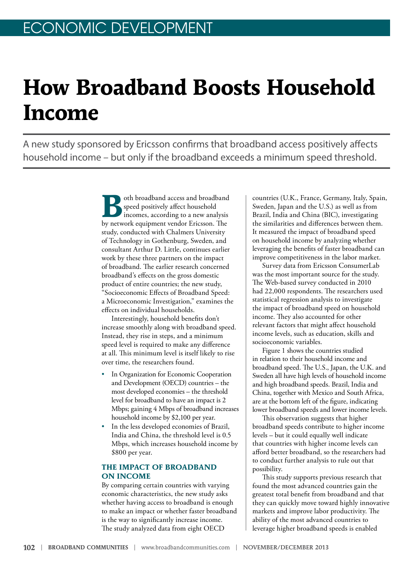## **How Broadband Boosts Household Income**

A new study sponsored by Ericsson confirms that broadband access positively affects household income – but only if the broadband exceeds a minimum speed threshold.

> oth broadband access and broadband speed positively affect household incomes, according to a new analysis by network equipment vendor Ericsson. The study, conducted with Chalmers University of Technology in Gothenburg, Sweden, and consultant Arthur D. Little, continues earlier work by these three partners on the impact of broadband. The earlier research concerned broadband's effects on the gross domestic product of entire countries; the new study, "Socioeconomic Effects of Broadband Speed: a Microeconomic Investigation," examines the effects on individual households.

Interestingly, household benefits don't increase smoothly along with broadband speed. Instead, they rise in steps, and a minimum speed level is required to make any difference at all. This minimum level is itself likely to rise over time, the researchers found.

- In Organization for Economic Cooperation and Development (OECD) countries – the most developed economies – the threshold level for broadband to have an impact is 2 Mbps; gaining 4 Mbps of broadband increases household income by \$2,100 per year.
- In the less developed economies of Brazil, India and China, the threshold level is 0.5 Mbps, which increases household income by \$800 per year.

## **THE IMPACT OF BROADBAND ON INCOME**

By comparing certain countries with varying economic characteristics, the new study asks whether having access to broadband is enough to make an impact or whether faster broadband is the way to significantly increase income. The study analyzed data from eight OECD

countries (U.K., France, Germany, Italy, Spain, Sweden, Japan and the U.S.) as well as from Brazil, India and China (BIC), investigating the similarities and differences between them. It measured the impact of broadband speed on household income by analyzing whether leveraging the benefits of faster broadband can improve competitiveness in the labor market.

Survey data from Ericsson ConsumerLab was the most important source for the study. The Web-based survey conducted in 2010 had 22,000 respondents. The researchers used statistical regression analysis to investigate the impact of broadband speed on household income. They also accounted for other relevant factors that might affect household income levels, such as education, skills and socioeconomic variables.

Figure 1 shows the countries studied in relation to their household income and broadband speed. The U.S., Japan, the U.K. and Sweden all have high levels of household income and high broadband speeds. Brazil, India and China, together with Mexico and South Africa, are at the bottom left of the figure, indicating lower broadband speeds and lower income levels.

This observation suggests that higher broadband speeds contribute to higher income levels – but it could equally well indicate that countries with higher income levels can afford better broadband, so the researchers had to conduct further analysis to rule out that possibility.

This study supports previous research that found the most advanced countries gain the greatest total benefit from broadband and that they can quickly move toward highly innovative markets and improve labor productivity. The ability of the most advanced countries to leverage higher broadband speeds is enabled